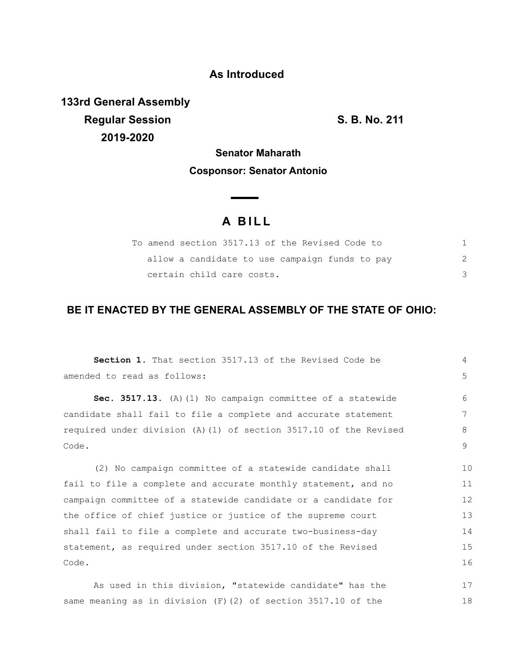## **As Introduced**

**133rd General Assembly Regular Session S. B. No. 211 2019-2020**

18

**Senator Maharath Cosponsor: Senator Antonio**

# **A BILL**

| To amend section 3517.13 of the Revised Code to |  |
|-------------------------------------------------|--|
| allow a candidate to use campaign funds to pay  |  |
| certain child care costs.                       |  |

## **BE IT ENACTED BY THE GENERAL ASSEMBLY OF THE STATE OF OHIO:**

| Section 1. That section 3517.13 of the Revised Code be            | 4  |
|-------------------------------------------------------------------|----|
| amended to read as follows:                                       | 5  |
| Sec. 3517.13. (A) (1) No campaign committee of a statewide        | 6  |
| candidate shall fail to file a complete and accurate statement    | 7  |
| required under division (A) (1) of section 3517.10 of the Revised | 8  |
| Code.                                                             | 9  |
| (2) No campaign committee of a statewide candidate shall          | 10 |
| fail to file a complete and accurate monthly statement, and no    | 11 |
| campaign committee of a statewide candidate or a candidate for    | 12 |
| the office of chief justice or justice of the supreme court       | 13 |
| shall fail to file a complete and accurate two-business-day       | 14 |
| statement, as required under section 3517.10 of the Revised       | 15 |
| Code.                                                             | 16 |
| As used in this division, "statewide candidate" has the           | 17 |

same meaning as in division (F)(2) of section 3517.10 of the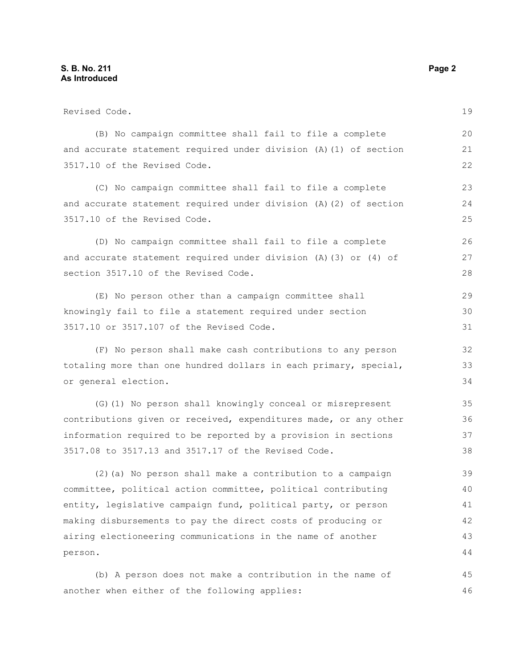| Revised Code.                                                        |    |
|----------------------------------------------------------------------|----|
| (B) No campaign committee shall fail to file a complete              | 20 |
| and accurate statement required under division (A) (1) of section    | 21 |
| 3517.10 of the Revised Code.                                         | 22 |
| (C) No campaign committee shall fail to file a complete              | 23 |
| and accurate statement required under division (A) (2) of section    | 24 |
| 3517.10 of the Revised Code.                                         | 25 |
| (D) No campaign committee shall fail to file a complete              | 26 |
| and accurate statement required under division (A) $(3)$ or $(4)$ of | 27 |
| section 3517.10 of the Revised Code.                                 | 28 |
| (E) No person other than a campaign committee shall                  | 29 |
| knowingly fail to file a statement required under section            | 30 |
| 3517.10 or 3517.107 of the Revised Code.                             | 31 |
| (F) No person shall make cash contributions to any person            | 32 |
| totaling more than one hundred dollars in each primary, special,     |    |
| or general election.                                                 | 34 |
| (G) (1) No person shall knowingly conceal or misrepresent            | 35 |
| contributions given or received, expenditures made, or any other     | 36 |
| information required to be reported by a provision in sections       | 37 |
| 3517.08 to 3517.13 and 3517.17 of the Revised Code.                  | 38 |
| (2) (a) No person shall make a contribution to a campaign            | 39 |
| committee, political action committee, political contributing        | 40 |
| entity, legislative campaign fund, political party, or person        | 41 |
| making disbursements to pay the direct costs of producing or         | 42 |
| airing electioneering communications in the name of another          | 43 |
| person.                                                              | 44 |
| (b) A person does not make a contribution in the name of             | 45 |
| another when either of the following applies:                        | 46 |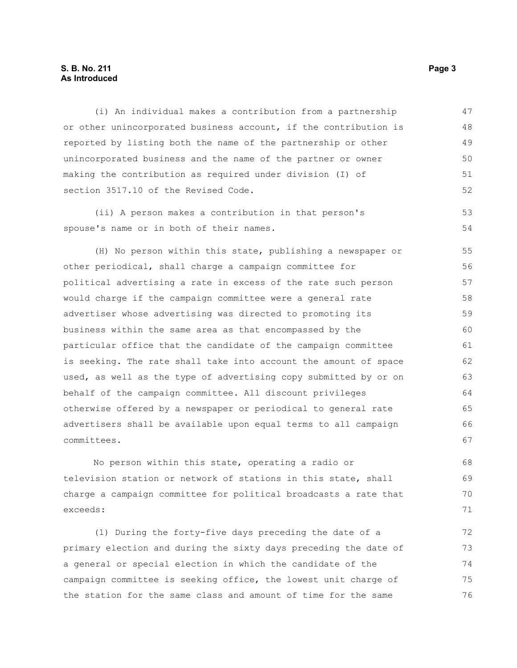#### **S. B. No. 211 Page 3 As Introduced**

(i) An individual makes a contribution from a partnership or other unincorporated business account, if the contribution is reported by listing both the name of the partnership or other unincorporated business and the name of the partner or owner making the contribution as required under division (I) of section 3517.10 of the Revised Code. 47 48 49 50 51 52

(ii) A person makes a contribution in that person's spouse's name or in both of their names. 53 54

(H) No person within this state, publishing a newspaper or other periodical, shall charge a campaign committee for political advertising a rate in excess of the rate such person would charge if the campaign committee were a general rate advertiser whose advertising was directed to promoting its business within the same area as that encompassed by the particular office that the candidate of the campaign committee is seeking. The rate shall take into account the amount of space used, as well as the type of advertising copy submitted by or on behalf of the campaign committee. All discount privileges otherwise offered by a newspaper or periodical to general rate advertisers shall be available upon equal terms to all campaign committees. 55 56 57 58 59 60 61 62 63 64 65 66 67

No person within this state, operating a radio or television station or network of stations in this state, shall charge a campaign committee for political broadcasts a rate that exceeds:

(1) During the forty-five days preceding the date of a primary election and during the sixty days preceding the date of a general or special election in which the candidate of the campaign committee is seeking office, the lowest unit charge of the station for the same class and amount of time for the same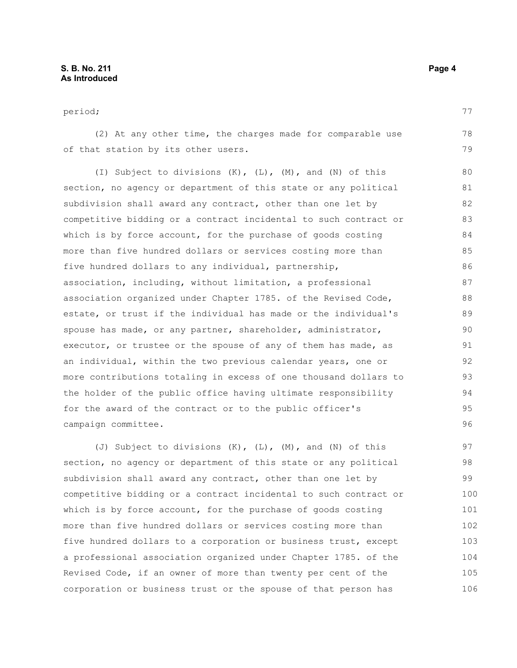period; (2) At any other time, the charges made for comparable use of that station by its other users. (I) Subject to divisions (K), (L), (M), and (N) of this section, no agency or department of this state or any political subdivision shall award any contract, other than one let by competitive bidding or a contract incidental to such contract or which is by force account, for the purchase of goods costing more than five hundred dollars or services costing more than five hundred dollars to any individual, partnership, association, including, without limitation, a professional association organized under Chapter 1785. of the Revised Code, estate, or trust if the individual has made or the individual's spouse has made, or any partner, shareholder, administrator, executor, or trustee or the spouse of any of them has made, as an individual, within the two previous calendar years, one or 77 78 79 80 81 82 83 84 85 86 87 88 89 90 91 92

more contributions totaling in excess of one thousand dollars to the holder of the public office having ultimate responsibility for the award of the contract or to the public officer's campaign committee. 93 94 95 96

(J) Subject to divisions (K), (L), (M), and (N) of this section, no agency or department of this state or any political subdivision shall award any contract, other than one let by competitive bidding or a contract incidental to such contract or which is by force account, for the purchase of goods costing more than five hundred dollars or services costing more than five hundred dollars to a corporation or business trust, except a professional association organized under Chapter 1785. of the Revised Code, if an owner of more than twenty per cent of the corporation or business trust or the spouse of that person has 97 98 99 100 101 102 103 104 105 106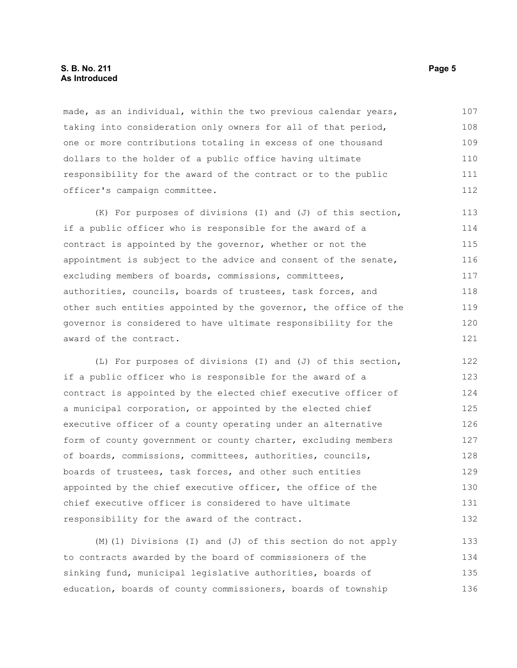made, as an individual, within the two previous calendar years, taking into consideration only owners for all of that period, one or more contributions totaling in excess of one thousand dollars to the holder of a public office having ultimate responsibility for the award of the contract or to the public officer's campaign committee. 107 108 109 110 111 112

(K) For purposes of divisions (I) and (J) of this section, if a public officer who is responsible for the award of a contract is appointed by the governor, whether or not the appointment is subject to the advice and consent of the senate, excluding members of boards, commissions, committees, authorities, councils, boards of trustees, task forces, and other such entities appointed by the governor, the office of the governor is considered to have ultimate responsibility for the award of the contract. 113 114 115 116 117 118 119 120 121

(L) For purposes of divisions (I) and (J) of this section, if a public officer who is responsible for the award of a contract is appointed by the elected chief executive officer of a municipal corporation, or appointed by the elected chief executive officer of a county operating under an alternative form of county government or county charter, excluding members of boards, commissions, committees, authorities, councils, boards of trustees, task forces, and other such entities appointed by the chief executive officer, the office of the chief executive officer is considered to have ultimate responsibility for the award of the contract. 122 123 124 125 126 127 128 129 130 131 132

(M)(1) Divisions (I) and (J) of this section do not apply to contracts awarded by the board of commissioners of the sinking fund, municipal legislative authorities, boards of education, boards of county commissioners, boards of township 133 134 135 136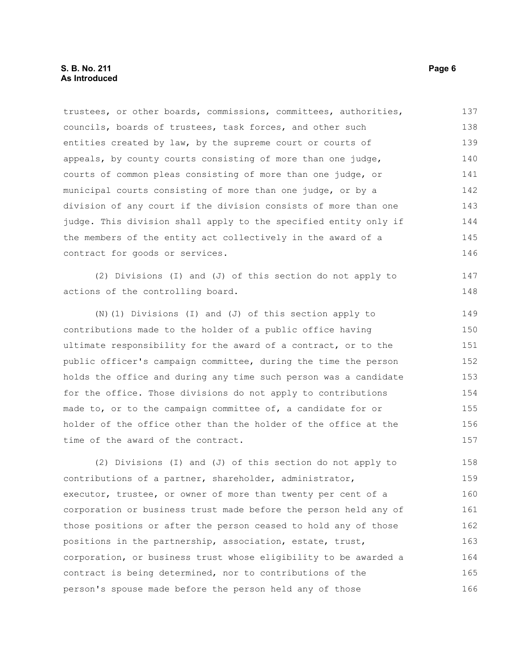trustees, or other boards, commissions, committees, authorities, councils, boards of trustees, task forces, and other such entities created by law, by the supreme court or courts of appeals, by county courts consisting of more than one judge, courts of common pleas consisting of more than one judge, or municipal courts consisting of more than one judge, or by a division of any court if the division consists of more than one judge. This division shall apply to the specified entity only if the members of the entity act collectively in the award of a contract for goods or services. 137 138 139 140 141 142 143 144 145 146

(2) Divisions (I) and (J) of this section do not apply to actions of the controlling board.

(N)(1) Divisions (I) and (J) of this section apply to contributions made to the holder of a public office having ultimate responsibility for the award of a contract, or to the public officer's campaign committee, during the time the person holds the office and during any time such person was a candidate for the office. Those divisions do not apply to contributions made to, or to the campaign committee of, a candidate for or holder of the office other than the holder of the office at the time of the award of the contract. 149 150 151 152 153 154 155 156 157

(2) Divisions (I) and (J) of this section do not apply to contributions of a partner, shareholder, administrator, executor, trustee, or owner of more than twenty per cent of a corporation or business trust made before the person held any of those positions or after the person ceased to hold any of those positions in the partnership, association, estate, trust, corporation, or business trust whose eligibility to be awarded a contract is being determined, nor to contributions of the person's spouse made before the person held any of those 158 159 160 161 162 163 164 165 166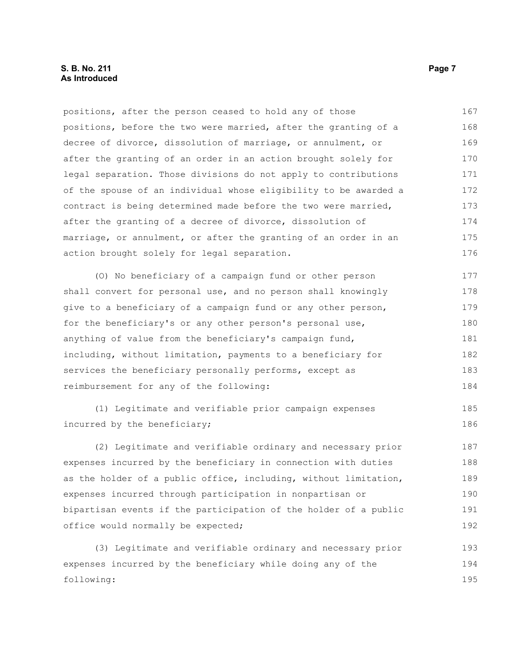#### **S. B. No. 211 Page 7 As Introduced**

positions, after the person ceased to hold any of those positions, before the two were married, after the granting of a decree of divorce, dissolution of marriage, or annulment, or after the granting of an order in an action brought solely for legal separation. Those divisions do not apply to contributions of the spouse of an individual whose eligibility to be awarded a contract is being determined made before the two were married, after the granting of a decree of divorce, dissolution of marriage, or annulment, or after the granting of an order in an action brought solely for legal separation. 167 168 169 170 171 172 173 174 175 176

(O) No beneficiary of a campaign fund or other person shall convert for personal use, and no person shall knowingly give to a beneficiary of a campaign fund or any other person, for the beneficiary's or any other person's personal use, anything of value from the beneficiary's campaign fund, including, without limitation, payments to a beneficiary for services the beneficiary personally performs, except as reimbursement for any of the following: 177 178 179 180 181 182 183 184

(1) Legitimate and verifiable prior campaign expenses incurred by the beneficiary; 185 186

(2) Legitimate and verifiable ordinary and necessary prior expenses incurred by the beneficiary in connection with duties as the holder of a public office, including, without limitation, expenses incurred through participation in nonpartisan or bipartisan events if the participation of the holder of a public office would normally be expected; 187 188 189 190 191 192

(3) Legitimate and verifiable ordinary and necessary prior expenses incurred by the beneficiary while doing any of the following: 193 194 195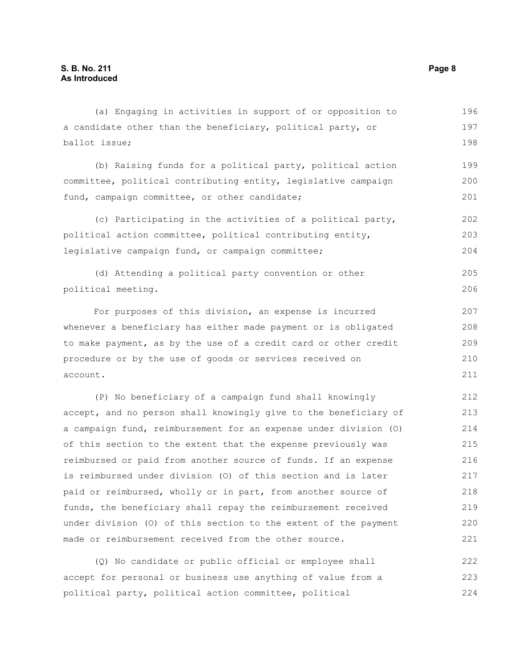| (a) Engaging in activities in support of or opposition to        | 196 |
|------------------------------------------------------------------|-----|
| a candidate other than the beneficiary, political party, or      | 197 |
| ballot issue;                                                    | 198 |
| (b) Raising funds for a political party, political action        | 199 |
| committee, political contributing entity, legislative campaign   | 200 |
| fund, campaign committee, or other candidate;                    | 201 |
| (c) Participating in the activities of a political party,        | 202 |
| political action committee, political contributing entity,       | 203 |
| legislative campaign fund, or campaign committee;                | 204 |
| (d) Attending a political party convention or other              | 205 |
| political meeting.                                               | 206 |
| For purposes of this division, an expense is incurred            | 207 |
| whenever a beneficiary has either made payment or is obligated   | 208 |
| to make payment, as by the use of a credit card or other credit  | 209 |
| procedure or by the use of goods or services received on         | 210 |
| account.                                                         | 211 |
| (P) No beneficiary of a campaign fund shall knowingly            | 212 |
| accept, and no person shall knowingly give to the beneficiary of | 213 |
| a campaign fund, reimbursement for an expense under division (O) | 214 |
| of this section to the extent that the expense previously was    | 215 |
| reimbursed or paid from another source of funds. If an expense   | 216 |
| is reimbursed under division (0) of this section and is later    | 217 |
| paid or reimbursed, wholly or in part, from another source of    | 218 |
| funds, the beneficiary shall repay the reimbursement received    | 219 |
| under division (O) of this section to the extent of the payment  | 220 |
| made or reimbursement received from the other source.            | 221 |
| (Q) No candidate or public official or employee shall            | 222 |
| accont for porsonal or business uso anything of value from a     | つつつ |

accept for personal or business use anything of value from a political party, political action committee, political 223 224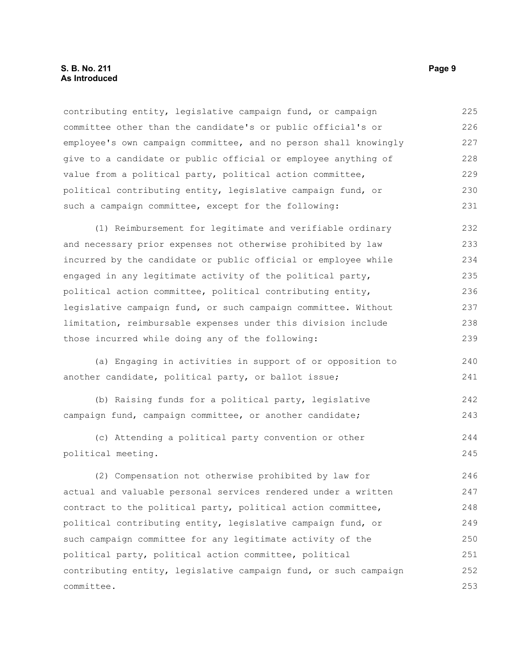#### **S. B. No. 211 Page 9 As Introduced**

contributing entity, legislative campaign fund, or campaign committee other than the candidate's or public official's or employee's own campaign committee, and no person shall knowingly give to a candidate or public official or employee anything of value from a political party, political action committee, political contributing entity, legislative campaign fund, or such a campaign committee, except for the following: 225 226 227 228 229 230 231

(1) Reimbursement for legitimate and verifiable ordinary and necessary prior expenses not otherwise prohibited by law incurred by the candidate or public official or employee while engaged in any legitimate activity of the political party, political action committee, political contributing entity, legislative campaign fund, or such campaign committee. Without limitation, reimbursable expenses under this division include those incurred while doing any of the following: 232 233 234 235 236 237 238 239

(a) Engaging in activities in support of or opposition to another candidate, political party, or ballot issue; 240 241

(b) Raising funds for a political party, legislative campaign fund, campaign committee, or another candidate; 242 243

(c) Attending a political party convention or other political meeting. 244 245

(2) Compensation not otherwise prohibited by law for actual and valuable personal services rendered under a written contract to the political party, political action committee, political contributing entity, legislative campaign fund, or such campaign committee for any legitimate activity of the political party, political action committee, political contributing entity, legislative campaign fund, or such campaign committee. 246 247 248 249 250 251 252 253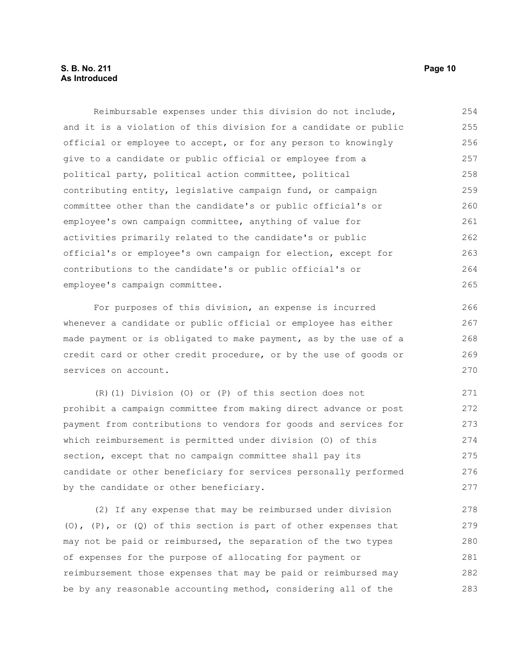#### **S. B. No. 211 Page 10 As Introduced**

Reimbursable expenses under this division do not include, and it is a violation of this division for a candidate or public official or employee to accept, or for any person to knowingly give to a candidate or public official or employee from a political party, political action committee, political contributing entity, legislative campaign fund, or campaign committee other than the candidate's or public official's or employee's own campaign committee, anything of value for activities primarily related to the candidate's or public official's or employee's own campaign for election, except for contributions to the candidate's or public official's or employee's campaign committee. 254 255 256 257 258 259 260 261 262 263 264 265

For purposes of this division, an expense is incurred whenever a candidate or public official or employee has either made payment or is obligated to make payment, as by the use of a credit card or other credit procedure, or by the use of goods or services on account.

(R)(1) Division (O) or (P) of this section does not prohibit a campaign committee from making direct advance or post payment from contributions to vendors for goods and services for which reimbursement is permitted under division (O) of this section, except that no campaign committee shall pay its candidate or other beneficiary for services personally performed by the candidate or other beneficiary. 271 272 273 274 275 276 277

(2) If any expense that may be reimbursed under division (O),  $(P)$ , or  $(Q)$  of this section is part of other expenses that may not be paid or reimbursed, the separation of the two types of expenses for the purpose of allocating for payment or reimbursement those expenses that may be paid or reimbursed may be by any reasonable accounting method, considering all of the 278 279 280 281 282 283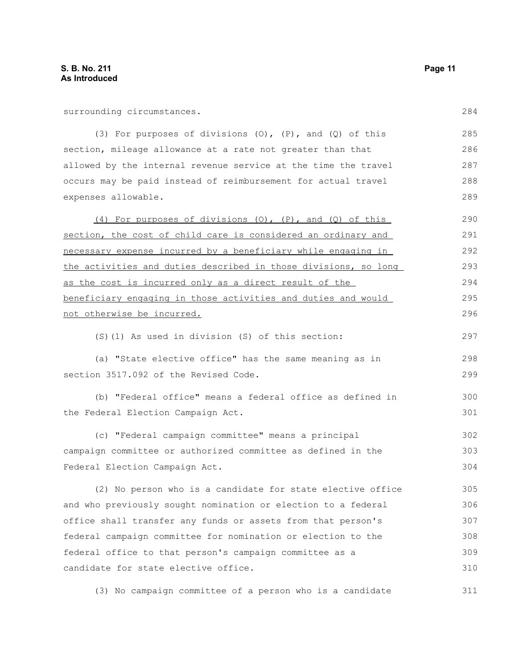surrounding circumstances.

(3) For purposes of divisions (O), (P), and (Q) of this section, mileage allowance at a rate not greater than that allowed by the internal revenue service at the time the travel occurs may be paid instead of reimbursement for actual travel expenses allowable.

(4) For purposes of divisions (O), (P), and (Q) of this section, the cost of child care is considered an ordinary and necessary expense incurred by a beneficiary while engaging in the activities and duties described in those divisions, so long as the cost is incurred only as a direct result of the beneficiary engaging in those activities and duties and would not otherwise be incurred. 290 291 292 293 294 295 296

(S)(1) As used in division (S) of this section:

(a) "State elective office" has the same meaning as in section 3517.092 of the Revised Code. 298 299

(b) "Federal office" means a federal office as defined in the Federal Election Campaign Act. 300 301

(c) "Federal campaign committee" means a principal campaign committee or authorized committee as defined in the Federal Election Campaign Act. 302 303 304

(2) No person who is a candidate for state elective office and who previously sought nomination or election to a federal office shall transfer any funds or assets from that person's federal campaign committee for nomination or election to the federal office to that person's campaign committee as a candidate for state elective office. 305 306 307 308 309 310

(3) No campaign committee of a person who is a candidate 311

284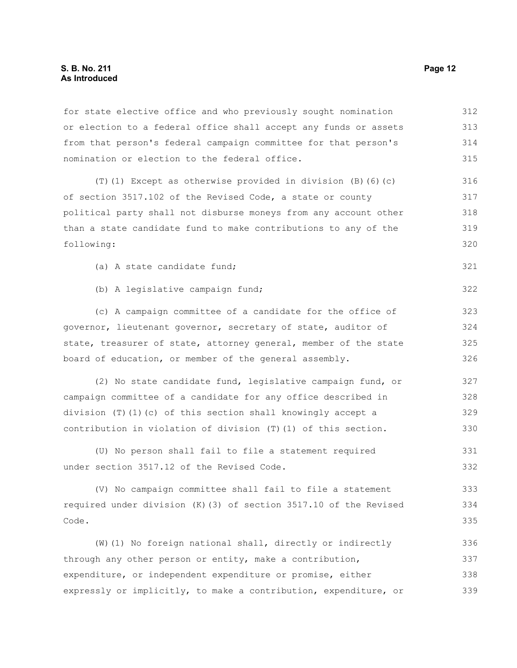#### **S. B. No. 211 Page 12 As Introduced**

for state elective office and who previously sought nomination or election to a federal office shall accept any funds or assets from that person's federal campaign committee for that person's nomination or election to the federal office. (T)(1) Except as otherwise provided in division (B)(6)(c) of section 3517.102 of the Revised Code, a state or county political party shall not disburse moneys from any account other than a state candidate fund to make contributions to any of the following: (a) A state candidate fund; (b) A legislative campaign fund; (c) A campaign committee of a candidate for the office of governor, lieutenant governor, secretary of state, auditor of state, treasurer of state, attorney general, member of the state board of education, or member of the general assembly. (2) No state candidate fund, legislative campaign fund, or campaign committee of a candidate for any office described in division (T)(1)(c) of this section shall knowingly accept a contribution in violation of division (T)(1) of this section. (U) No person shall fail to file a statement required under section 3517.12 of the Revised Code. (V) No campaign committee shall fail to file a statement required under division (K)(3) of section 3517.10 of the Revised Code. (W)(1) No foreign national shall, directly or indirectly through any other person or entity, make a contribution, expenditure, or independent expenditure or promise, either expressly or implicitly, to make a contribution, expenditure, or 312 313 314 315 316 317 318 319 320 321 322 323 324 325 326 327 328 329 330 331 332 333 334 335 336 337 338 339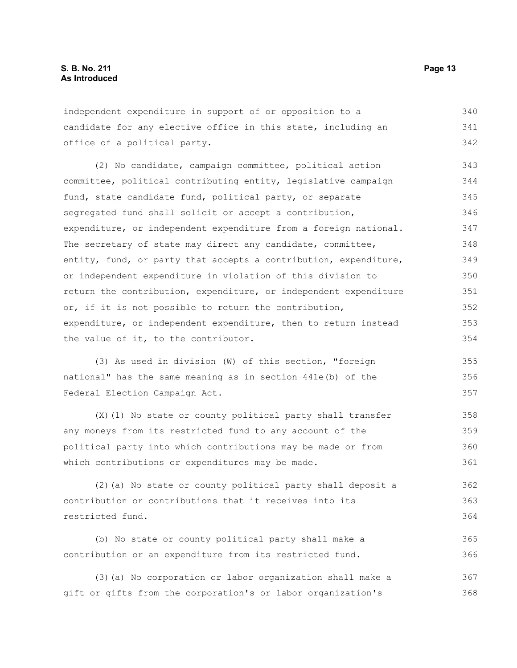independent expenditure in support of or opposition to a candidate for any elective office in this state, including an office of a political party. 340 341 342

(2) No candidate, campaign committee, political action committee, political contributing entity, legislative campaign fund, state candidate fund, political party, or separate segregated fund shall solicit or accept a contribution, expenditure, or independent expenditure from a foreign national. The secretary of state may direct any candidate, committee, entity, fund, or party that accepts a contribution, expenditure, or independent expenditure in violation of this division to return the contribution, expenditure, or independent expenditure or, if it is not possible to return the contribution, expenditure, or independent expenditure, then to return instead the value of it, to the contributor. 343 344 345 346 347 348 349 350 351 352 353 354

(3) As used in division (W) of this section, "foreign national" has the same meaning as in section 441e(b) of the Federal Election Campaign Act.

(X)(1) No state or county political party shall transfer any moneys from its restricted fund to any account of the political party into which contributions may be made or from which contributions or expenditures may be made. 358 359 360 361

(2)(a) No state or county political party shall deposit a contribution or contributions that it receives into its restricted fund. 362 363 364

(b) No state or county political party shall make a contribution or an expenditure from its restricted fund. 365 366

(3)(a) No corporation or labor organization shall make a gift or gifts from the corporation's or labor organization's 367 368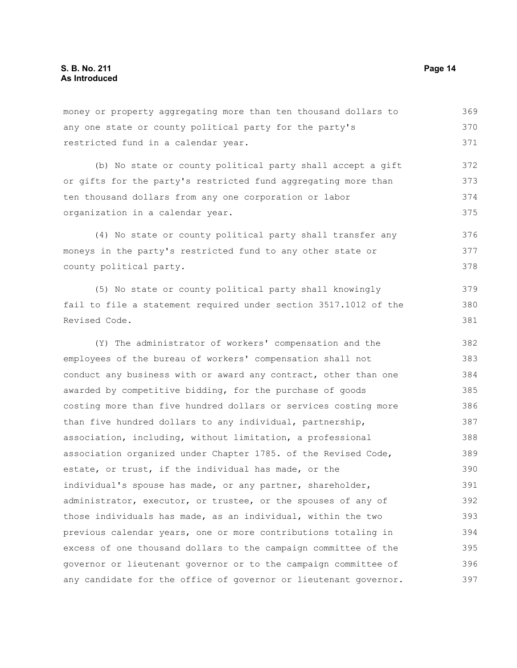any one state or county political party for the party's restricted fund in a calendar year. (b) No state or county political party shall accept a gift or gifts for the party's restricted fund aggregating more than ten thousand dollars from any one corporation or labor organization in a calendar year. (4) No state or county political party shall transfer any moneys in the party's restricted fund to any other state or county political party. (5) No state or county political party shall knowingly fail to file a statement required under section 3517.1012 of the Revised Code. (Y) The administrator of workers' compensation and the employees of the bureau of workers' compensation shall not conduct any business with or award any contract, other than one awarded by competitive bidding, for the purchase of goods costing more than five hundred dollars or services costing more than five hundred dollars to any individual, partnership, association, including, without limitation, a professional association organized under Chapter 1785. of the Revised Code, estate, or trust, if the individual has made, or the individual's spouse has made, or any partner, shareholder, administrator, executor, or trustee, or the spouses of any of those individuals has made, as an individual, within the two previous calendar years, one or more contributions totaling in excess of one thousand dollars to the campaign committee of the 370 371 372 373 374 375 376 377 378 379 380 381 382 383 384 385 386 387 388 389 390 391 392 393 394 395

money or property aggregating more than ten thousand dollars to

governor or lieutenant governor or to the campaign committee of any candidate for the office of governor or lieutenant governor. 396 397